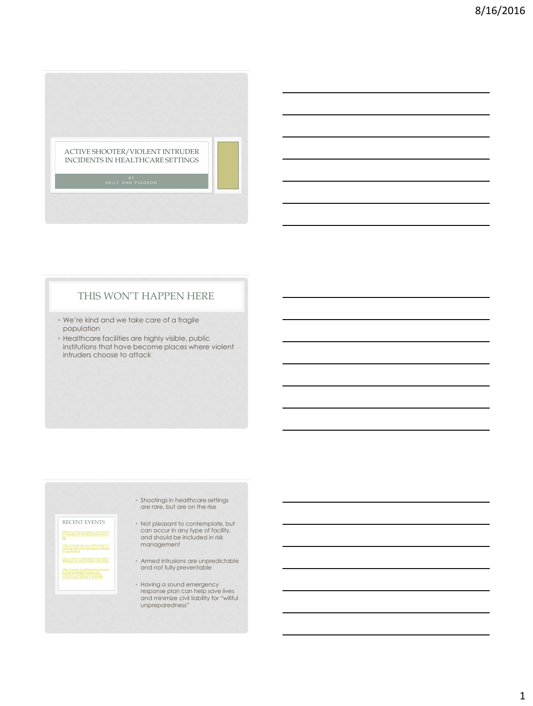

# THIS WON'T HAPPEN HERE

- We're kind and we take care of a fragile population
- Healthcare facilities are highly visible, public institutions that have become places where violent intruders choose to attack

RECENT EVENTS

[https://www.youtube.com/watch](https://www.youtube.com/watch?v=xaqNuJth18w&feature=youtu.be) [?v=xaqNuJth18w&feature=youtu.](https://www.youtube.com/watch?v=xaqNuJth18w&feature=youtu.be) [be](https://www.youtube.com/watch?v=xaqNuJth18w&feature=youtu.be)

- Shootings in healthcare settings are rare, but are on the rise
- Not pleasant to contemplate, but can occur in any type of facility, and should be included in risk management
- Armed intrusions are unpredictable and not fully preventable
- Having a sound emergency response plan can help save lives and minimize civil liability for "willful unpreparedness"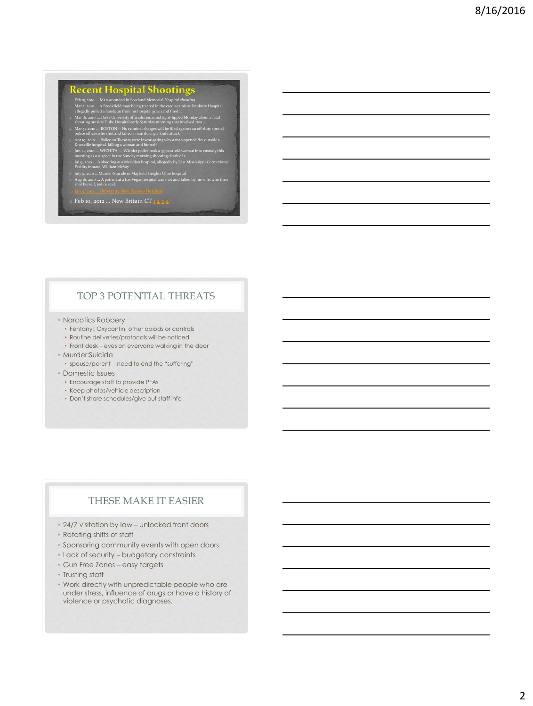# **Recent Hospital Shootings**

- Feb 15, 2010. Man womeded in Scotland Memorial Hospital shouting<br>
In An and Man and Man being treated in the cardiac unit at Danbury Hospital<br>
allegedly pulled a handgun from his hospital gown and fired it<br>
allegedly pull
- 
- 
- 
- 

#### 1. Feb 10, 2012 ... New Britain CT  $\frac{1234}{4}$

# TOP 3 POTENTIAL THREATS

- Narcotics Robbery
	- Fentanyl, Oxycontin, other opiods or controls
	- Routine deliveries/protocols will be noticed
	- Front desk eyes on everyone walking in the door
- Murder:Suicide
	- spouse/parent need to end the "suffering"
- Domestic Issues
	- Encourage staff to provide PFAs
	- Keep photos/vehicle description
	- Don't share schedules/give out staff info

### THESE MAKE IT EASIER

- 24/7 visitation by law unlocked front doors
- Rotating shifts of staff
- Sponsoring community events with open doors
- Lack of security budgetary constraints
- Gun Free Zones easy targets
- Trusting staff
- Work directly with unpredictable people who are under stress, influence of drugs or have a history of violence or psychotic diagnoses.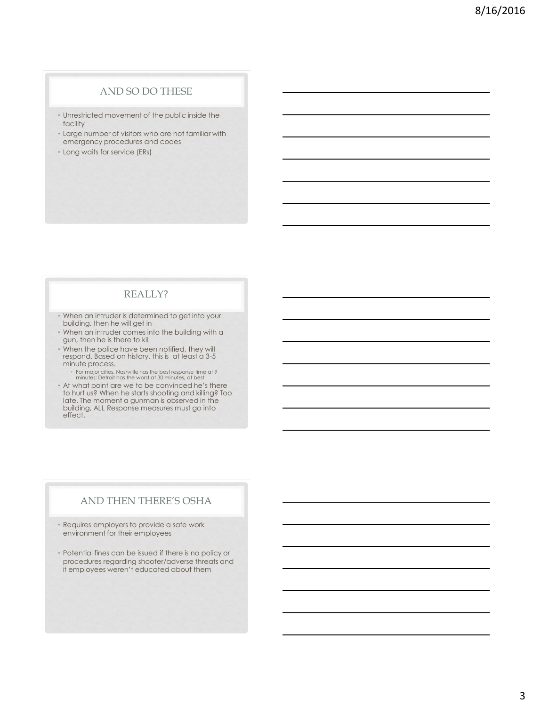## AND SO DO THESE

- Unrestricted movement of the public inside the facility
- Large number of visitors who are not familiar with emergency procedures and codes
- Long waits for service (ERs)

#### REALLY?

- When an intruder is determined to get into your building, then he will get in
- When an intruder comes into the building with a gun, then he is there to kill
- When the police have been notified, they will respond. Based on history, this is at least a 3-5 minute process.
	- For major cities, Nashville has the best response time at 9 minutes; Detroit has the worst at 30 minutes, at best.
- At what point are we to be convinced he's there to hurt us? When he starts shooting and killing? Too late. The moment a gunman is observed in the building, ALL Response measures must go into effect.

# AND THEN THERE'S OSHA

- Requires employers to provide a safe work environment for their employees
- Potential fines can be issued if there is no policy or procedures regarding shooter/adverse threats and if employees weren't educated about them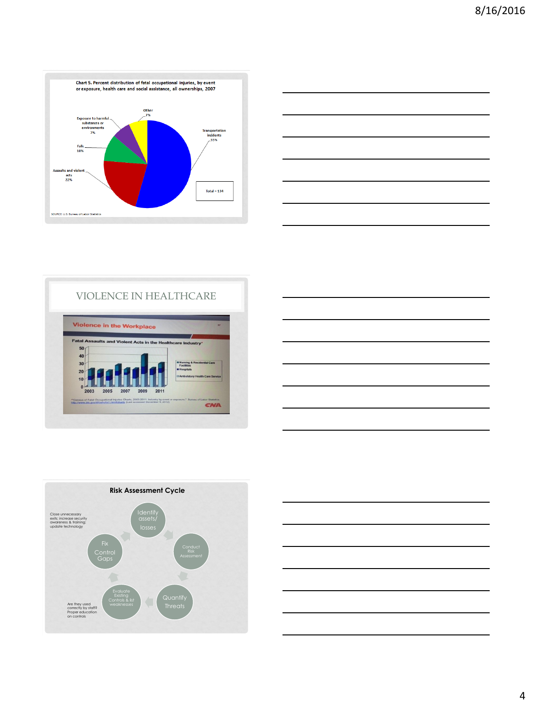









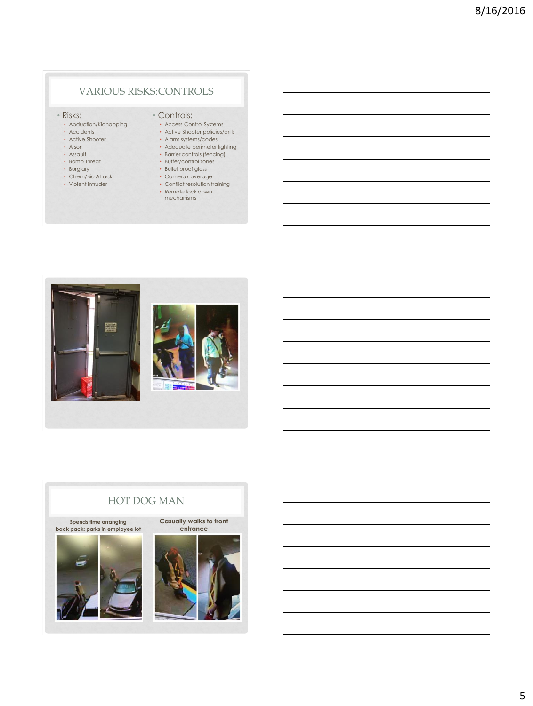# VARIOUS RISKS:CONTROLS

#### • Risks:

- Abduction/Kidnapping
- Accidents
- Active Shooter
- Arson • Assault
- Bomb Threat
- Burglary
- Chem/Bio Attack
- Violent intruder

### • Controls:

- Access Control Systems • Active Shooter policies/drills
- Alarm systems/codes
- Adequate perimeter lighting
- Barrier controls (fencing)
- Buffer/control zones
- Bullet proof glass • Camera coverage
- Conflict resolution training
- Remote lock down mechanisms



# HOT DOG MAN **Spends time arranging back pack; parks in employee lot Casually walks to front entrance**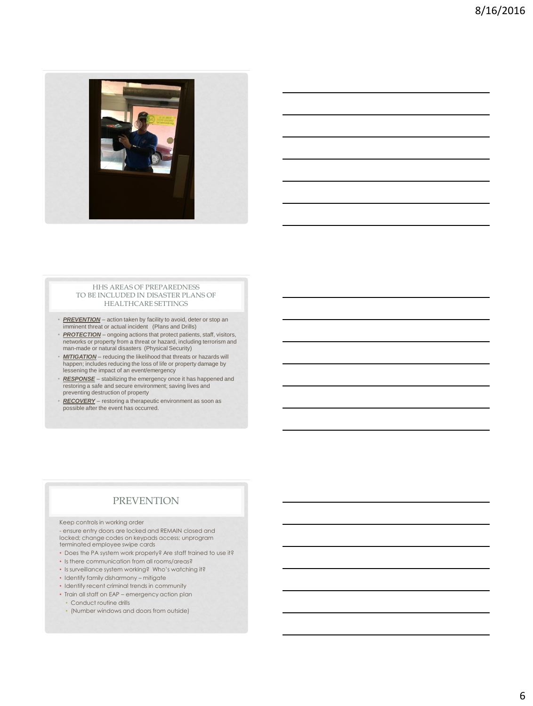

#### HHS AREAS OF PREPAREDNESS TO BE INCLUDED IN DISASTER PLANS OF HEALTHCARE SETTINGS

- *PREVENTION* action taken by facility to avoid, deter or stop an imminent threat or actual incident (Plans and Drills)
- *PROTECTION* ongoing actions that protect patients, staff, visitors, networks or property from a threat or hazard, including terrorism and man-made or natural disasters (Physical Security)
- *MITIGATION* reducing the likelihood that threats or hazards will happen; includes reducing the loss of life or property damage by lessening the impact of an event/emergency
- *RESPONSE* stabilizing the emergency once it has happened and restoring a safe and secure environment; saving lives and preventing destruction of property
- *RECOVERY* restoring a therapeutic environment as soon as possible after the event has occurred.

# PREVENTION

#### Keep controls in working order

- ensure entry doors are locked and REMAIN closed and locked; change codes on keypads access; unprogram terminated employee swipe cards

- Does the PA system work properly? Are staff trained to use it?
- Is there communication from all rooms/areas?
- Is surveillance system working? Who's watching it?
- Identify family disharmony mitigate
- Identify recent criminal trends in community
- Train all staff on EAP emergency action plan • Conduct routine drills
	- (Number windows and doors from outside)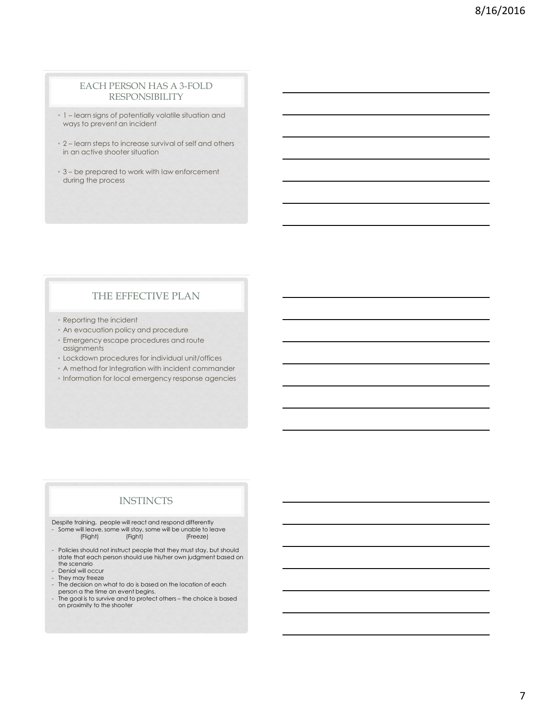#### EACH PERSON HAS A 3-FOLD RESPONSIBILITY

- 1 learn signs of potentially volatile situation and ways to prevent an incident
- 2 learn steps to increase survival of self and others in an active shooter situation
- 3 be prepared to work with law enforcement during the process

## THE EFFECTIVE PLAN

- Reporting the incident
- An evacuation policy and procedure
- Emergency escape procedures and route assignments
- Lockdown procedures for individual unit/offices
- A method for Integration with incident commander
- Information for local emergency response agencies

#### **INSTINCTS**

Despite training, people will react and respond differently

- Some will leave, some will stay, some will be unable to leave<br>
(Flight) (Freeze) (Flight)
- Policies should not instruct people that they must stay, but should state that each person should use his/her own judgment based on the scenario
- Denial will occur
- They may freeze
- The decision on what to do is based on the location of each
- person a the time an event begins. The goal is to survive and to protect others the choice is based on proximity to the shooter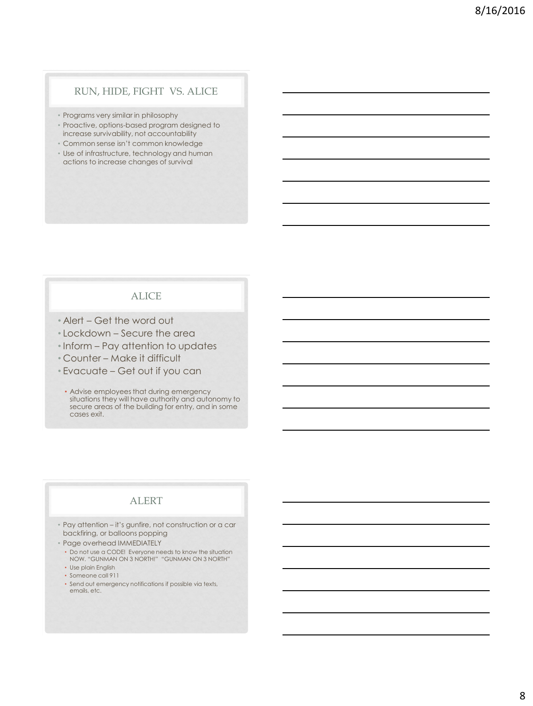### RUN, HIDE, FIGHT VS. ALICE

- Programs very similar in philosophy
- Proactive, options-based program designed to increase survivability, not accountability
- Common sense isn't common knowledge
- Use of infrastructure, technology and human actions to increase changes of survival

#### ALICE

- Alert Get the word out
- Lockdown Secure the area
- Inform Pay attention to updates
- Counter Make it difficult
- Evacuate Get out if you can
- Advise employees that during emergency situations they will have authority and autonomy to secure areas of the building for entry, and in some cases exit.

# ALERT

- Pay attention it's gunfire, not construction or a car backfiring, or balloons popping
- Page overhead IMMEDIATELY
	- Do not use a CODE! Everyone needs to know the situation NOW. "GUNMAN ON 3 NORTH!" "GUNMAN ON 3 NORTH"
	- Use plain English
	- Someone call 911
	- Send out emergency notifications if possible via texts, emails, etc.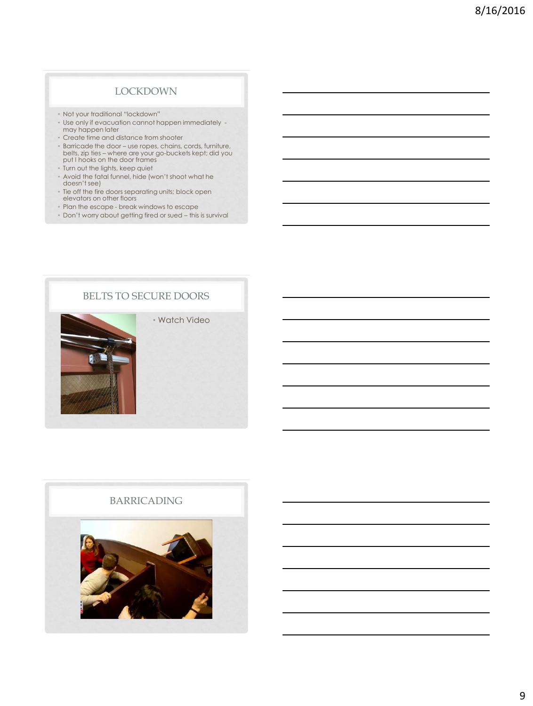#### LOCKDOWN

- Not your traditional "lockdown"
- Use only if evacuation cannot happen immediately may happen later
- Create time and distance from shooter
- Barricade the door use ropes, chains, cords, furniture, belts, zip ties where are your go-buckets kept; did you put I hooks on the door frames
- Turn out the lights, keep quiet
- Avoid the fatal funnel, hide (won't shoot what he doesn't see)
- Tie off the fire doors separating units; block open elevators on other floors
- Plan the escape break windows to escape
- Don't worry about getting fired or sued this is survival



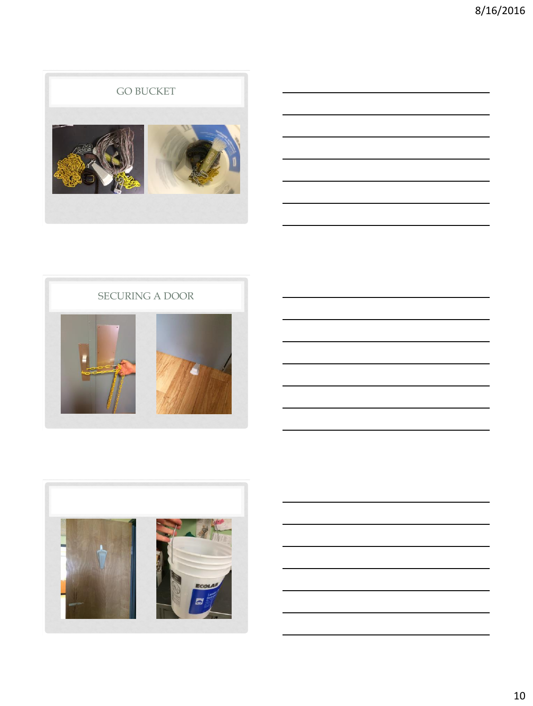# GO BUCKET







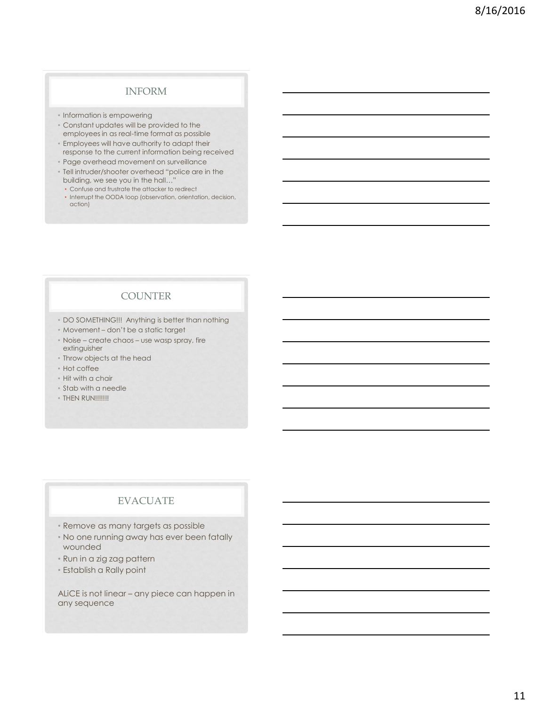# INFORM

- Information is empowering
- Constant updates will be provided to the employees in as real-time format as possible
- Employees will have authority to adapt their response to the current information being received
- Page overhead movement on surveillance
- Tell intruder/shooter overhead "police are in the building, we see you in the hall…"
	- Confuse and frustrate the attacker to redirect
- Interrupt the OODA loop (observation, orientation, decision, action)

# **COUNTER**

- DO SOMETHING!!! Anything is better than nothing
- Movement don't be a static target
- Noise create chaos use wasp spray, fire extinguisher
- Throw objects at the head
- Hot coffee
- Hit with a chair
- Stab with a needle
- THEN RUN!!!!!!!

# EVACUATE

- Remove as many targets as possible
- No one running away has ever been fatally wounded
- Run in a zig zag pattern
- Establish a Rally point

ALiCE is not linear – any piece can happen in any sequence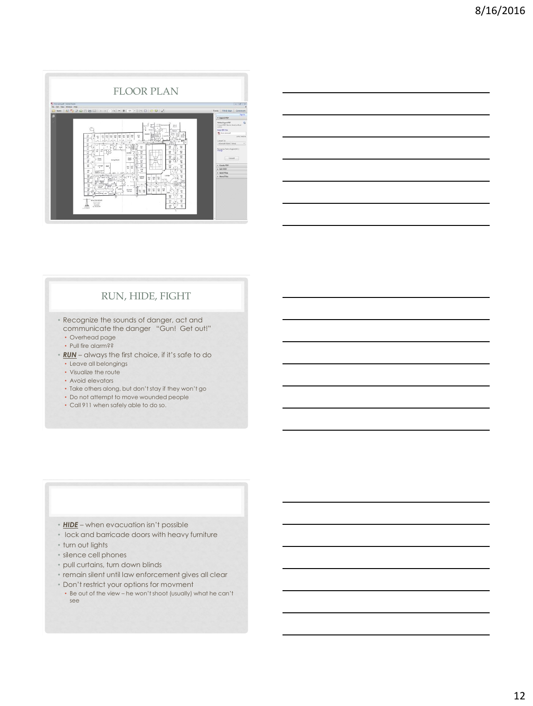

|  | <u> 1989 - Johann Stein, marwolaethau a bhann an t-Amhair an t-Amhair an t-Amhair an t-Amhair an t-Amhair an t-A</u>                                                                                                          |  |
|--|-------------------------------------------------------------------------------------------------------------------------------------------------------------------------------------------------------------------------------|--|
|  |                                                                                                                                                                                                                               |  |
|  | <u> 1989 - Johann Stoff, deutscher Stoff, der Stoff, der Stoff, der Stoff, der Stoff, der Stoff, der Stoff, der S</u>                                                                                                         |  |
|  | and the contract of the contract of the contract of the contract of the contract of the contract of the contract of                                                                                                           |  |
|  | the control of the control of the control of the control of the control of the control of the control of the control of the control of the control of the control of the control of the control of the control of the control |  |
|  |                                                                                                                                                                                                                               |  |

# RUN, HIDE, FIGHT

• Recognize the sounds of danger, act and communicate the danger "Gun! Get out!"

- Overhead page
- Pull fire alarm??
- *RUN* always the first choice, if it's safe to do
	- Leave all belongings • Visualize the route
	- Avoid elevators
	- Take others along, but don't stay if they won't go
	- Do not attempt to move wounded people
	- Call 911 when safely able to do so.

- *HIDE* when evacuation isn't possible
- lock and barricade doors with heavy furniture
- turn out lights
- silence cell phones
- pull curtains, turn down blinds
- remain silent until law enforcement gives all clear
- Don't restrict your options for movment
- Be out of the view he won't shoot (usually) what he can't see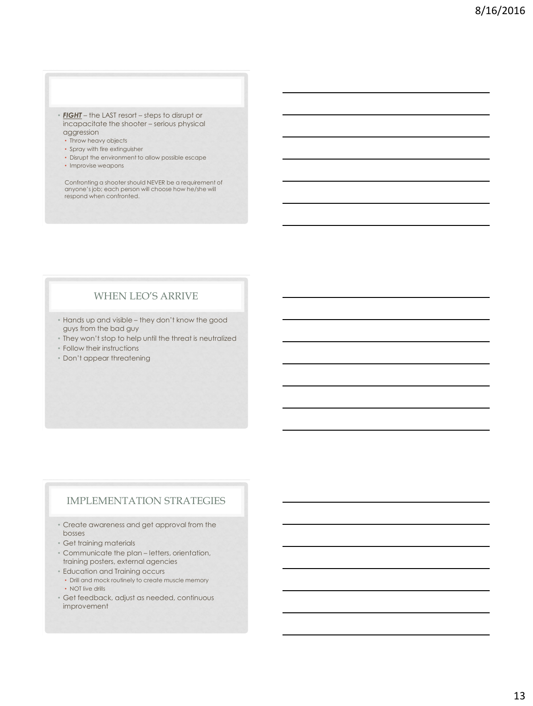- *FIGHT* the LAST resort steps to disrupt or incapacitate the shooter – serious physical aggression
	- Throw heavy objects
	- Spray with fire extinguisher
	- Disrupt the environment to allow possible escape
	- Improvise weapons

Confronting a shooter should NEVER be a requirement of anyone's job; each person will choose how he/she will respond when confronted.

# WHEN LEO'S ARRIVE

- Hands up and visible they don't know the good guys from the bad guy
- They won't stop to help until the threat is neutralized
- Follow their instructions
- Don't appear threatening

# IMPLEMENTATION STRATEGIES

- Create awareness and get approval from the bosses
- Get training materials
- Communicate the plan letters, orientation, training posters, external agencies
- Education and Training occurs • Drill and mock routinely to create muscle memory • NOT live drills
- Get feedback, adjust as needed, continuous improvement